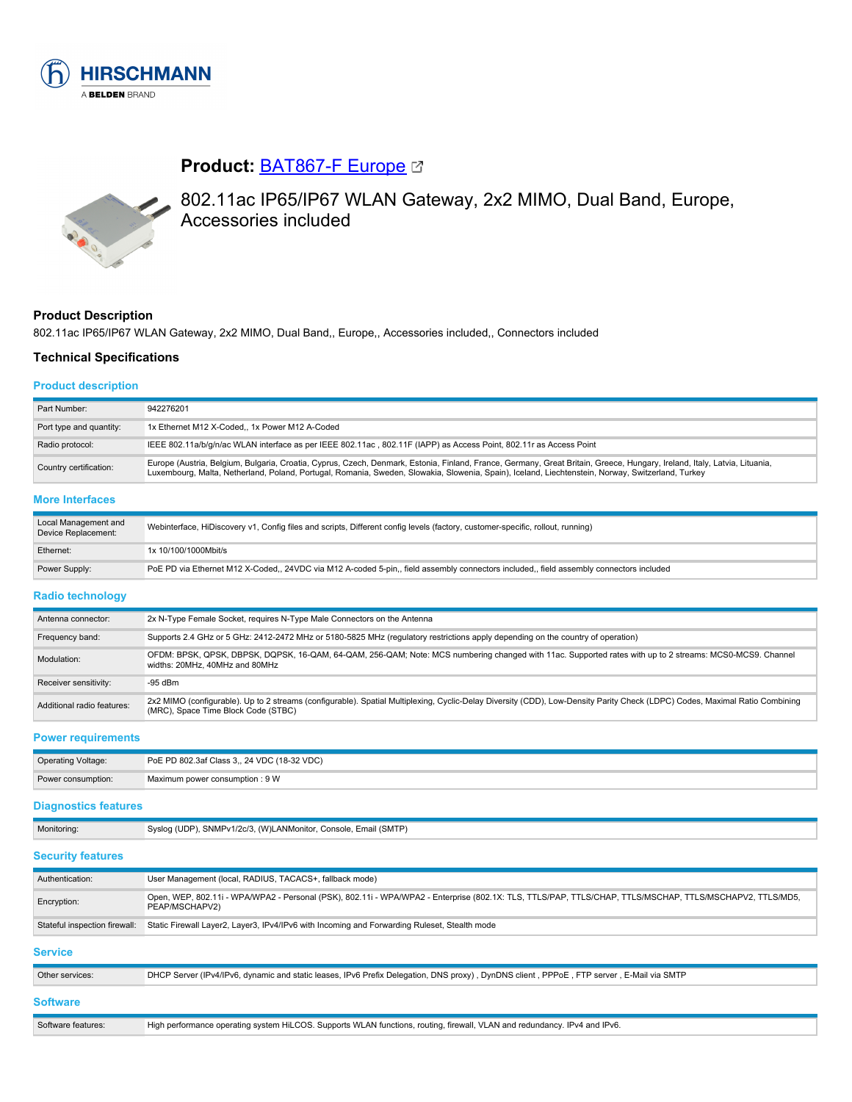

# **Product:** [BAT867-F Europe](https://catalog.belden.com/index.cfm?event=pd&p=PF_942276201&tab=downloads)



802.11ac IP65/IP67 WLAN Gateway, 2x2 MIMO, Dual Band, Europe, Accessories included

# **Product Description**

802.11ac IP65/IP67 WLAN Gateway, 2x2 MIMO, Dual Band,, Europe,, Accessories included,, Connectors included

PoE PD via Ethernet M12 X-Coded,, 24VDC via M12 A-coded 5-pin,, field assembly connectors included,, field assembly connectors included

## **Technical Specifications**

#### **Product description**

| Part Number:                                                              | 942276201                                                                                                                                                                                                                                                                                                                      |  |
|---------------------------------------------------------------------------|--------------------------------------------------------------------------------------------------------------------------------------------------------------------------------------------------------------------------------------------------------------------------------------------------------------------------------|--|
| 1x Ethernet M12 X-Coded,, 1x Power M12 A-Coded<br>Port type and quantity: |                                                                                                                                                                                                                                                                                                                                |  |
| Radio protocol:                                                           | IEEE 802.11a/b/g/n/ac WLAN interface as per IEEE 802.11ac, 802.11F (IAPP) as Access Point, 802.11r as Access Point                                                                                                                                                                                                             |  |
| Country certification:                                                    | Europe (Austria, Belgium, Bulgaria, Croatia, Cyprus, Czech, Denmark, Estonia, Finland, France, Germany, Great Britain, Greece, Hungary, Ireland, Italy, Latvia, Lituania,<br>Luxembourg, Malta, Netherland, Poland, Portugal, Romania, Sweden, Slowakia, Slowenia, Spain), Iceland, Liechtenstein, Norway, Switzerland, Turkey |  |
| <b>More Interfaces</b>                                                    |                                                                                                                                                                                                                                                                                                                                |  |
| Local Management and<br>Device Replacement:                               | Webinterface, HiDiscovery v1, Config files and scripts, Different config levels (factory, customer-specific, rollout, running)                                                                                                                                                                                                 |  |

## **Radio technology**

Ethernet: 1x 10/100/1000Mbit/s

| Antenna connector:         | 2x N-Type Female Socket, requires N-Type Male Connectors on the Antenna                                                                                                                                            |
|----------------------------|--------------------------------------------------------------------------------------------------------------------------------------------------------------------------------------------------------------------|
| Frequency band:            | Supports 2.4 GHz or 5 GHz: 2412-2472 MHz or 5180-5825 MHz (regulatory restrictions apply depending on the country of operation)                                                                                    |
| Modulation:                | OFDM: BPSK, QPSK, DBPSK, DQPSK, 16-QAM, 64-QAM, 256-QAM; Note: MCS numbering changed with 11ac. Supported rates with up to 2 streams: MCS0-MCS9. Channel<br>widths: 20MHz, 40MHz and 80MHz                         |
| Receiver sensitivity:      | $-95$ dBm                                                                                                                                                                                                          |
| Additional radio features: | 2x2 MIMO (configurable). Up to 2 streams (configurable). Spatial Multiplexing, Cyclic-Delay Diversity (CDD), Low-Density Parity Check (LDPC) Codes, Maximal Ratio Combining<br>(MRC), Space Time Block Code (STBC) |

**Power requirements**

| <b>Operating Voltage:</b> | PoE PD 802.3af Class 3,, 24 VDC (18-32 VDC) |
|---------------------------|---------------------------------------------|
| Power consumption:        | Maximum power consumption : 9 W             |

## **Diagnostics features**

|  |  | Monitoring: | Syslog (UDP), SNMPv1/2c/3, (W)LANMonitor, Console, Email (SMTP) |
|--|--|-------------|-----------------------------------------------------------------|
|--|--|-------------|-----------------------------------------------------------------|

# **Security features**

| Authentication:               | User Management (local, RADIUS, TACACS+, fallback mode)                                                                                                                    |
|-------------------------------|----------------------------------------------------------------------------------------------------------------------------------------------------------------------------|
| Encryption:                   | Open, WEP, 802.11i - WPA/WPA2 - Personal (PSK), 802.11i - WPA/WPA2 - Enterprise (802.1X: TLS, TTLS/PAP, TTLS/CHAP, TTLS/MSCHAP, TTLS/MSCHAPV2, TTLS/MD5,<br>PEAP/MSCHAPV2) |
| Stateful inspection firewall: | Static Firewall Layer2, Layer3, IPv4/IPv6 with Incoming and Forwarding Ruleset, Stealth mode                                                                               |
| <b>Service</b>                |                                                                                                                                                                            |
| Other services:               | DHCP Server (IPv4/IPv6, dynamic and static leases, IPv6 Prefix Delegation, DNS proxy), DynDNS client, PPPoE, FTP server, E-Mail via SMTP                                   |
| <b>Software</b>               |                                                                                                                                                                            |
| Software features:            | High performance operating system HiLCOS. Supports WLAN functions, routing, firewall, VLAN and redundancy. IPv4 and IPv6.                                                  |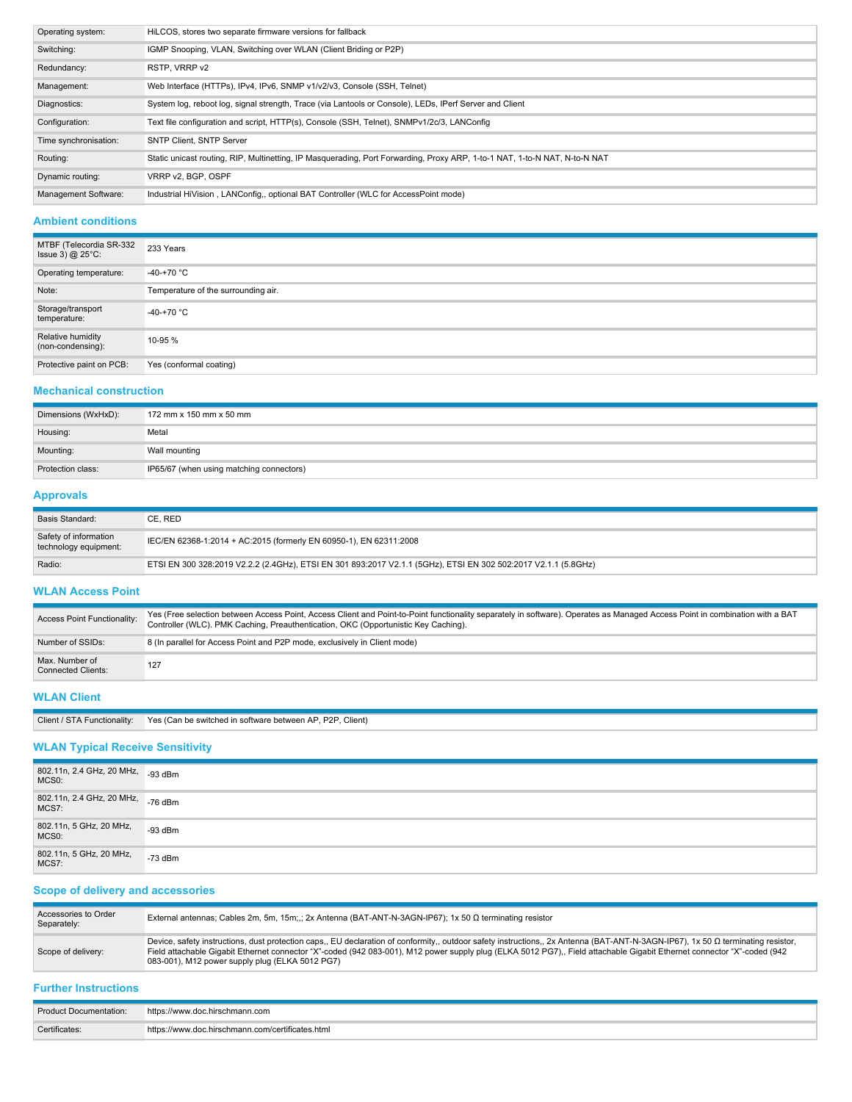| Operating system:     | HiLCOS, stores two separate firmware versions for fallback                                                                 |
|-----------------------|----------------------------------------------------------------------------------------------------------------------------|
| Switching:            | IGMP Snooping, VLAN, Switching over WLAN (Client Briding or P2P)                                                           |
| Redundancy:           | RSTP. VRRP v2                                                                                                              |
| Management:           | Web Interface (HTTPs), IPv4, IPv6, SNMP v1/v2/v3, Console (SSH, Telnet)                                                    |
| Diagnostics:          | System log, reboot log, signal strength, Trace (via Lantools or Console), LEDs, IPerf Server and Client                    |
| Configuration:        | Text file configuration and script, HTTP(s), Console (SSH, Telnet), SNMPv1/2c/3, LANConfig                                 |
| Time synchronisation: | <b>SNTP Client, SNTP Server</b>                                                                                            |
| Routing:              | Static unicast routing, RIP, Multinetting, IP Masquerading, Port Forwarding, Proxy ARP, 1-to-1 NAT, 1-to-N NAT, N-to-N NAT |
| Dynamic routing:      | VRRP v2. BGP, OSPF                                                                                                         |
| Management Software:  | Industrial HiVision, LANConfig,, optional BAT Controller (WLC for AccessPoint mode)                                        |

## **Ambient conditions**

| MTBF (Telecordia SR-332<br>Issue 3) $@$ 25 $°C$ : | 233 Years                           |
|---------------------------------------------------|-------------------------------------|
| Operating temperature:                            | $-40-+70$ °C                        |
| Note:                                             | Temperature of the surrounding air. |
| Storage/transport<br>temperature:                 | -40-+70 $^{\circ}$ C                |
| Relative humidity<br>(non-condensing):            | 10-95 %                             |
| Protective paint on PCB:                          | Yes (conformal coating)             |

# **Mechanical construction**

| Dimensions (WxHxD): | 172 mm x 150 mm x 50 mm                  |
|---------------------|------------------------------------------|
| Housing:            | Metal                                    |
| Mounting:           | Wall mounting                            |
| Protection class:   | IP65/67 (when using matching connectors) |

# **Approvals**

| Basis Standard:                                | CE. RED                                                                                                        |
|------------------------------------------------|----------------------------------------------------------------------------------------------------------------|
| Safety of information<br>technology equipment: | IEC/EN 62368-1:2014 + AC:2015 (formerly EN 60950-1), EN 62311:2008                                             |
| Radio:                                         | ETSI EN 300 328:2019 V2.2.2 (2.4GHz), ETSI EN 301 893:2017 V2.1.1 (5GHz), ETSI EN 302 502:2017 V2.1.1 (5.8GHz) |

#### **WLAN Access Point**

| Access Point Functionality:                 | Yes (Free selection between Access Point, Access Client and Point-to-Point functionality separately in software). Operates as Managed Access Point in combination with a BAT<br>Controller (WLC). PMK Caching, Preauthentication, OKC (Opportunistic Key Caching). |  |
|---------------------------------------------|--------------------------------------------------------------------------------------------------------------------------------------------------------------------------------------------------------------------------------------------------------------------|--|
| Number of SSIDs:                            | 8 (In parallel for Access Point and P2P mode, exclusively in Client mode)                                                                                                                                                                                          |  |
| Max, Number of<br><b>Connected Clients:</b> | 127                                                                                                                                                                                                                                                                |  |

# **WLAN Client**

| Client / STA Functionality: | Yes (Can be switched in software between AP, P2P, Client) |
|-----------------------------|-----------------------------------------------------------|
|-----------------------------|-----------------------------------------------------------|

# **WLAN Typical Receive Sensitivity**

| 802.11n, 2.4 GHz, 20 MHz, -93 dBm<br>MCS <sub>0</sub> : |           |
|---------------------------------------------------------|-----------|
| 802.11n, 2.4 GHz, 20 MHz, -76 dBm<br>MCS7:              |           |
| 802.11n, 5 GHz, 20 MHz,<br>MCS <sub>0</sub> :           | $-93$ dBm |
| 802.11n, 5 GHz, 20 MHz,<br>MCS7:                        | $-73$ dBm |

# **Scope of delivery and accessories**

| Accessories to Order<br>Separately: | External antennas; Cables 2m, 5m, 15m;;; 2x Antenna (BAT-ANT-N-3AGN-IP67); 1x 50 $\Omega$ terminating resistor                                                                                                                                                                                                                                                                                                |
|-------------------------------------|---------------------------------------------------------------------------------------------------------------------------------------------------------------------------------------------------------------------------------------------------------------------------------------------------------------------------------------------------------------------------------------------------------------|
| Scope of delivery:                  | Device, safety instructions, dust protection caps,, EU declaration of conformity,, outdoor safety instructions,, 2x Antenna (BAT-ANT-N-3AGN-IP67), 1x 50 Ω terminating resistor,<br>Field attachable Gigabit Ethernet connector "X"-coded (942 083-001), M12 power supply plug (ELKA 5012 PG7), Field attachable Gigabit Ethernet connector "X"-coded (942<br>083-001), M12 power supply plug (ELKA 5012 PG7) |

## **Further Instructions**

| Product Documentation: | https://www.doc.hirschmann.com                   |
|------------------------|--------------------------------------------------|
| Certificates:          | https://www.doc.hirschmann.com/certificates.html |